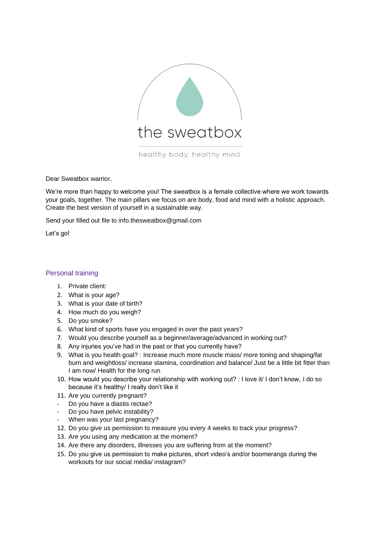

healthy body, healthy mind

Dear Sweatbox warrior,

We're more than happy to welcome you! The sweatbox is a female collective where we work towards your goals, together. The main pillars we focus on are body, food and mind with a holistic approach. Create the best version of yourself in a sustainable way.

Send your filled out file to info.thesweatbox@gmail.com

Let's go!

## Personal training

- 1. Private client:
- 2. What is your age?
- 3. What is your date of birth?
- 4. How much do you weigh?
- 5. Do you smoke?
- 6. What kind of sports have you engaged in over the past years?
- 7. Would you describe yourself as a beginner/average/advanced in working out?
- 8. Any injuries you've had in the past or that you currently have?
- 9. What is you health goal? : Increase much more muscle mass/ more toning and shaping/fat burn and weightloss/ increase stamina, coordination and balance/ Just be a little bit fitter than I am now/ Health for the long run
- 10. How would you describe your relationship with working out? : I love it/ I don't know, I do so because it's healthy/ I really don't like it
- 11. Are you currently pregnant?
- Do you have a diastis rectae?
- Do you have pelvic instability?
- When was your last pregnancy?
- 12. Do you give us permission to measure you every 4 weeks to track your progress?
- 13. Are you using any medication at the moment?
- 14. Are there any disorders, illnesses you are suffering from at the moment?
- 15. Do you give us permission to make pictures, short video's and/or boomerangs during the workouts for our social media/ instagram?